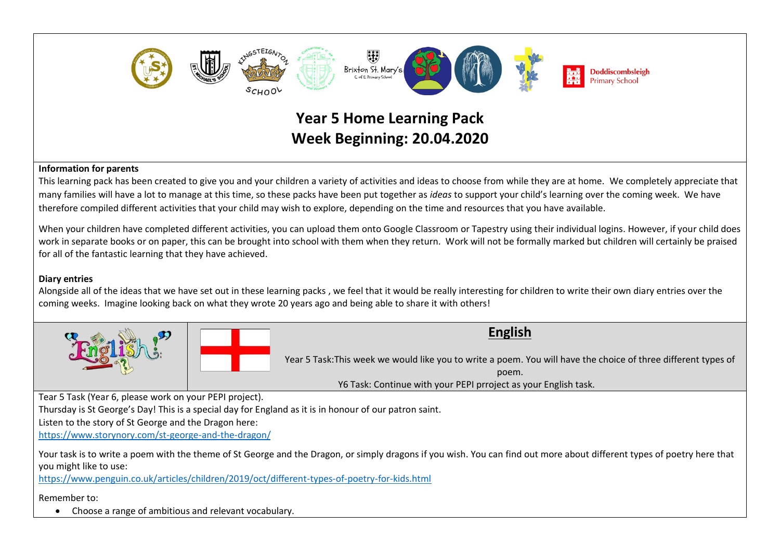

## **Information for parents**

This learning pack has been created to give you and your children a variety of activities and ideas to choose from while they are at home. We completely appreciate that many families will have a lot to manage at this time, so these packs have been put together as *ideas* to support your child's learning over the coming week. We have therefore compiled different activities that your child may wish to explore, depending on the time and resources that you have available.

When your children have completed different activities, you can upload them onto Google Classroom or Tapestry using their individual logins. However, if your child does work in separate books or on paper, this can be brought into school with them when they return. Work will not be formally marked but children will certainly be praised for all of the fantastic learning that they have achieved.

## **Diary entries**

Alongside all of the ideas that we have set out in these learning packs , we feel that it would be really interesting for children to write their own diary entries over the coming weeks. Imagine looking back on what they wrote 20 years ago and being able to share it with others!





**English**

Year 5 Task:This week we would like you to write a poem. You will have the choice of three different types of poem.

Y6 Task: Continue with your PEPI prroject as your English task.

Tear 5 Task (Year 6, please work on your PEPI project).

Thursday is St George's Day! This is a special day for England as it is in honour of our patron saint.

Listen to the story of St George and the Dragon here:

<https://www.storynory.com/st-george-and-the-dragon/>

Your task is to write a poem with the theme of St George and the Dragon, or simply dragons if you wish. You can find out more about different types of poetry here that you might like to use:

<https://www.penguin.co.uk/articles/children/2019/oct/different-types-of-poetry-for-kids.html>

Remember to:

• Choose a range of ambitious and relevant vocabulary.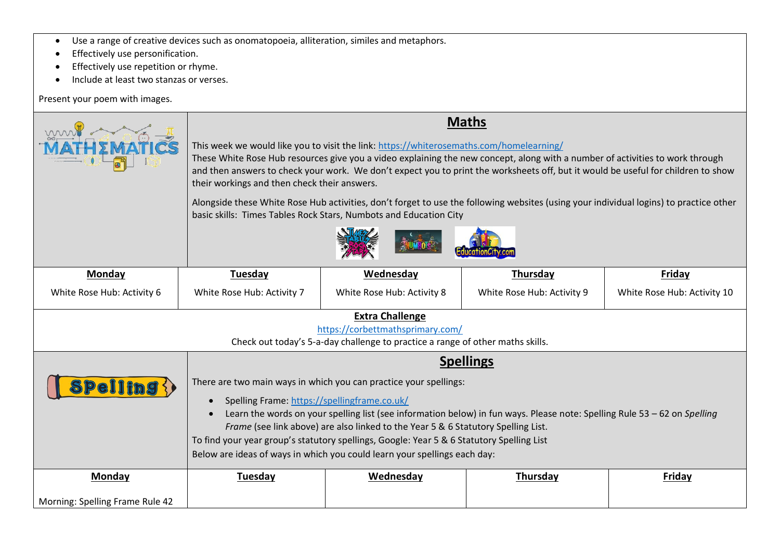- Use a range of creative devices such as onomatopoeia, alliteration, similes and metaphors.
- Effectively use personification.
- Effectively use repetition or rhyme.
- Include at least two stanzas or verses.

Present your poem with images.

|                                                                                                                                              | <b>Maths</b>                                                                                                                                                                                                                                                                                                                                                                                                                                                                                                                                                                                                                 |                            |                            |                             |
|----------------------------------------------------------------------------------------------------------------------------------------------|------------------------------------------------------------------------------------------------------------------------------------------------------------------------------------------------------------------------------------------------------------------------------------------------------------------------------------------------------------------------------------------------------------------------------------------------------------------------------------------------------------------------------------------------------------------------------------------------------------------------------|----------------------------|----------------------------|-----------------------------|
|                                                                                                                                              | This week we would like you to visit the link: https://whiterosemaths.com/homelearning/<br>These White Rose Hub resources give you a video explaining the new concept, along with a number of activities to work through<br>and then answers to check your work. We don't expect you to print the worksheets off, but it would be useful for children to show<br>their workings and then check their answers.<br>Alongside these White Rose Hub activities, don't forget to use the following websites (using your individual logins) to practice other<br>basic skills: Times Tables Rock Stars, Numbots and Education City |                            |                            |                             |
|                                                                                                                                              |                                                                                                                                                                                                                                                                                                                                                                                                                                                                                                                                                                                                                              |                            |                            |                             |
| Monday                                                                                                                                       | <b>Tuesday</b>                                                                                                                                                                                                                                                                                                                                                                                                                                                                                                                                                                                                               | Wednesday                  | Thursday                   | <b>Friday</b>               |
| White Rose Hub: Activity 6                                                                                                                   | White Rose Hub: Activity 7                                                                                                                                                                                                                                                                                                                                                                                                                                                                                                                                                                                                   | White Rose Hub: Activity 8 | White Rose Hub: Activity 9 | White Rose Hub: Activity 10 |
| <b>Extra Challenge</b><br>https://corbettmathsprimary.com/<br>Check out today's 5-a-day challenge to practice a range of other maths skills. |                                                                                                                                                                                                                                                                                                                                                                                                                                                                                                                                                                                                                              |                            |                            |                             |
|                                                                                                                                              | <b>Spellings</b>                                                                                                                                                                                                                                                                                                                                                                                                                                                                                                                                                                                                             |                            |                            |                             |
| <b>Spelling {}</b>                                                                                                                           | There are two main ways in which you can practice your spellings:<br>Spelling Frame: https://spellingframe.co.uk/<br>Learn the words on your spelling list (see information below) in fun ways. Please note: Spelling Rule 53 - 62 on Spelling<br>Frame (see link above) are also linked to the Year 5 & 6 Statutory Spelling List.<br>To find your year group's statutory spellings, Google: Year 5 & 6 Statutory Spelling List<br>Below are ideas of ways in which you could learn your spellings each day:                                                                                                                |                            |                            |                             |
|                                                                                                                                              |                                                                                                                                                                                                                                                                                                                                                                                                                                                                                                                                                                                                                              |                            |                            |                             |
| Monday                                                                                                                                       | Tuesday                                                                                                                                                                                                                                                                                                                                                                                                                                                                                                                                                                                                                      | Wednesday                  | Thursday                   | Friday                      |
| Morning: Spelling Frame Rule 42                                                                                                              |                                                                                                                                                                                                                                                                                                                                                                                                                                                                                                                                                                                                                              |                            |                            |                             |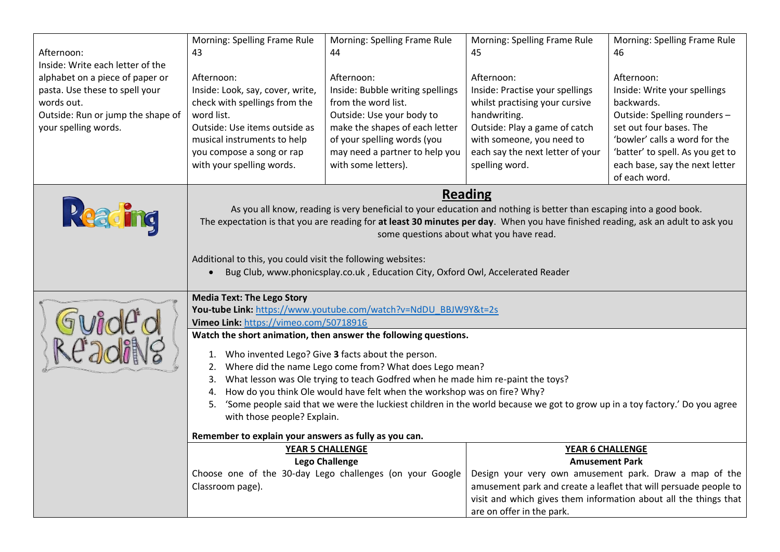| Afternoon:<br>Inside: Write each letter of the<br>alphabet on a piece of paper or<br>pasta. Use these to spell your<br>words out.<br>Outside: Run or jump the shape of<br>your spelling words. | Morning: Spelling Frame Rule<br>43<br>Afternoon:<br>Inside: Look, say, cover, write,<br>check with spellings from the<br>word list.<br>Outside: Use items outside as<br>musical instruments to help<br>you compose a song or rap<br>with your spelling words.                                                                                                                                                                                                                                                                              | Morning: Spelling Frame Rule<br>44<br>Afternoon:<br>Inside: Bubble writing spellings<br>from the word list.<br>Outside: Use your body to<br>make the shapes of each letter<br>of your spelling words (you<br>may need a partner to help you<br>with some letters). | Morning: Spelling Frame Rule<br>45<br>Afternoon:<br>Inside: Practise your spellings<br>whilst practising your cursive<br>handwriting.<br>Outside: Play a game of catch<br>with someone, you need to<br>each say the next letter of your<br>spelling word. | Morning: Spelling Frame Rule<br>46<br>Afternoon:<br>Inside: Write your spellings<br>backwards.<br>Outside: Spelling rounders -<br>set out four bases. The<br>'bowler' calls a word for the<br>'batter' to spell. As you get to<br>each base, say the next letter<br>of each word. |
|------------------------------------------------------------------------------------------------------------------------------------------------------------------------------------------------|--------------------------------------------------------------------------------------------------------------------------------------------------------------------------------------------------------------------------------------------------------------------------------------------------------------------------------------------------------------------------------------------------------------------------------------------------------------------------------------------------------------------------------------------|--------------------------------------------------------------------------------------------------------------------------------------------------------------------------------------------------------------------------------------------------------------------|-----------------------------------------------------------------------------------------------------------------------------------------------------------------------------------------------------------------------------------------------------------|-----------------------------------------------------------------------------------------------------------------------------------------------------------------------------------------------------------------------------------------------------------------------------------|
| Reading                                                                                                                                                                                        | <b>Reading</b><br>As you all know, reading is very beneficial to your education and nothing is better than escaping into a good book.<br>The expectation is that you are reading for at least 30 minutes per day. When you have finished reading, ask an adult to ask you<br>some questions about what you have read.<br>Additional to this, you could visit the following websites:<br>Bug Club, www.phonicsplay.co.uk, Education City, Oxford Owl, Accelerated Reader                                                                    |                                                                                                                                                                                                                                                                    |                                                                                                                                                                                                                                                           |                                                                                                                                                                                                                                                                                   |
| Gwidd d<br>3 An alst 10                                                                                                                                                                        | <b>Media Text: The Lego Story</b><br>You-tube Link: https://www.youtube.com/watch?v=NdDU_BBJW9Y&t=2s<br>Vimeo Link: https://vimeo.com/50718916                                                                                                                                                                                                                                                                                                                                                                                             |                                                                                                                                                                                                                                                                    |                                                                                                                                                                                                                                                           |                                                                                                                                                                                                                                                                                   |
|                                                                                                                                                                                                | Watch the short animation, then answer the following questions.<br>Who invented Lego? Give 3 facts about the person.<br>1.<br>Where did the name Lego come from? What does Lego mean?<br>2.<br>What lesson was Ole trying to teach Godfred when he made him re-paint the toys?<br>3.<br>How do you think Ole would have felt when the workshop was on fire? Why?<br>4.<br>'Some people said that we were the luckiest children in the world because we got to grow up in a toy factory.' Do you agree<br>5.<br>with those people? Explain. |                                                                                                                                                                                                                                                                    |                                                                                                                                                                                                                                                           |                                                                                                                                                                                                                                                                                   |
|                                                                                                                                                                                                | Remember to explain your answers as fully as you can.                                                                                                                                                                                                                                                                                                                                                                                                                                                                                      |                                                                                                                                                                                                                                                                    |                                                                                                                                                                                                                                                           |                                                                                                                                                                                                                                                                                   |
|                                                                                                                                                                                                |                                                                                                                                                                                                                                                                                                                                                                                                                                                                                                                                            | <b>YEAR 5 CHALLENGE</b><br><b>Lego Challenge</b>                                                                                                                                                                                                                   | <b>YEAR 6 CHALLENGE</b>                                                                                                                                                                                                                                   | <b>Amusement Park</b>                                                                                                                                                                                                                                                             |
|                                                                                                                                                                                                | Classroom page).                                                                                                                                                                                                                                                                                                                                                                                                                                                                                                                           | Choose one of the 30-day Lego challenges (on your Google                                                                                                                                                                                                           | Design your very own amusement park. Draw a map of the<br>amusement park and create a leaflet that will persuade people to<br>are on offer in the park.                                                                                                   | visit and which gives them information about all the things that                                                                                                                                                                                                                  |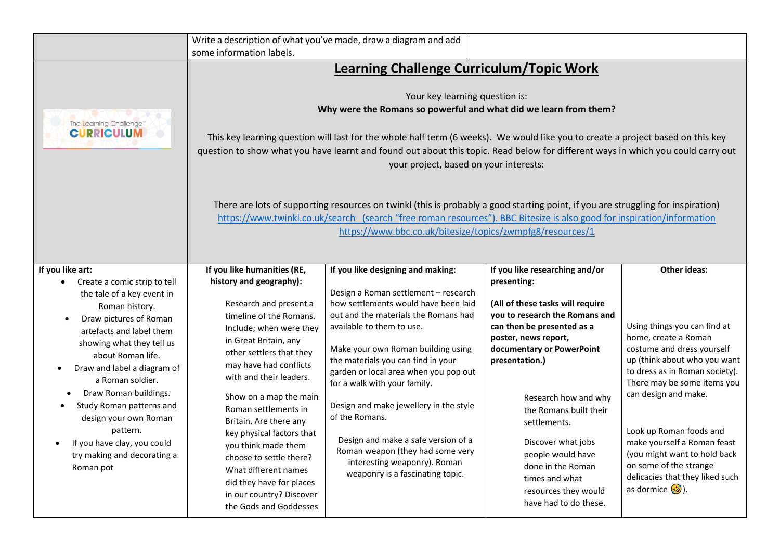|                                                                                                                                                                                                                                                                                                                                                                                           | some information labels.                                                                                                                                                                                                                                                                                                                                                                                                                                               | Write a description of what you've made, draw a diagram and add                                                                                                                                                                                                                                                                                                                                                                                                                                                   |                                                                                                                                                                                                                                                                                                                                                                              |                                                                                                                                                                                                                                                                                                                                                                                                   |
|-------------------------------------------------------------------------------------------------------------------------------------------------------------------------------------------------------------------------------------------------------------------------------------------------------------------------------------------------------------------------------------------|------------------------------------------------------------------------------------------------------------------------------------------------------------------------------------------------------------------------------------------------------------------------------------------------------------------------------------------------------------------------------------------------------------------------------------------------------------------------|-------------------------------------------------------------------------------------------------------------------------------------------------------------------------------------------------------------------------------------------------------------------------------------------------------------------------------------------------------------------------------------------------------------------------------------------------------------------------------------------------------------------|------------------------------------------------------------------------------------------------------------------------------------------------------------------------------------------------------------------------------------------------------------------------------------------------------------------------------------------------------------------------------|---------------------------------------------------------------------------------------------------------------------------------------------------------------------------------------------------------------------------------------------------------------------------------------------------------------------------------------------------------------------------------------------------|
|                                                                                                                                                                                                                                                                                                                                                                                           |                                                                                                                                                                                                                                                                                                                                                                                                                                                                        |                                                                                                                                                                                                                                                                                                                                                                                                                                                                                                                   |                                                                                                                                                                                                                                                                                                                                                                              |                                                                                                                                                                                                                                                                                                                                                                                                   |
| The Learning Challenge"<br><b>CURRICULUM</b>                                                                                                                                                                                                                                                                                                                                              | <b>Learning Challenge Curriculum/Topic Work</b><br>Your key learning question is:<br>Why were the Romans so powerful and what did we learn from them?<br>This key learning question will last for the whole half term (6 weeks). We would like you to create a project based on this key<br>question to show what you have learnt and found out about this topic. Read below for different ways in which you could carry out<br>your project, based on your interests: |                                                                                                                                                                                                                                                                                                                                                                                                                                                                                                                   |                                                                                                                                                                                                                                                                                                                                                                              |                                                                                                                                                                                                                                                                                                                                                                                                   |
|                                                                                                                                                                                                                                                                                                                                                                                           | There are lots of supporting resources on twinkl (this is probably a good starting point, if you are struggling for inspiration)<br>https://www.twinkl.co.uk/search (search "free roman resources"). BBC Bitesize is also good for inspiration/information<br>https://www.bbc.co.uk/bitesize/topics/zwmpfg8/resources/1                                                                                                                                                |                                                                                                                                                                                                                                                                                                                                                                                                                                                                                                                   |                                                                                                                                                                                                                                                                                                                                                                              |                                                                                                                                                                                                                                                                                                                                                                                                   |
| If you like art:<br>Create a comic strip to tell                                                                                                                                                                                                                                                                                                                                          | If you like humanities (RE,<br>history and geography):                                                                                                                                                                                                                                                                                                                                                                                                                 | If you like designing and making:                                                                                                                                                                                                                                                                                                                                                                                                                                                                                 | If you like researching and/or<br>presenting:                                                                                                                                                                                                                                                                                                                                | <b>Other ideas:</b>                                                                                                                                                                                                                                                                                                                                                                               |
| the tale of a key event in<br>Roman history.<br>Draw pictures of Roman<br>$\bullet$<br>artefacts and label them<br>showing what they tell us<br>about Roman life.<br>Draw and label a diagram of<br>a Roman soldier.<br>Draw Roman buildings.<br>Study Roman patterns and<br>design your own Roman<br>pattern.<br>If you have clay, you could<br>try making and decorating a<br>Roman pot | Research and present a<br>timeline of the Romans.<br>Include; when were they<br>in Great Britain, any<br>other settlers that they<br>may have had conflicts<br>with and their leaders.<br>Show on a map the main<br>Roman settlements in<br>Britain. Are there any<br>key physical factors that<br>you think made them<br>choose to settle there?<br>What different names<br>did they have for places<br>in our country? Discover<br>the Gods and Goddesses            | Design a Roman settlement - research<br>how settlements would have been laid<br>out and the materials the Romans had<br>available to them to use.<br>Make your own Roman building using<br>the materials you can find in your<br>garden or local area when you pop out<br>for a walk with your family.<br>Design and make jewellery in the style<br>of the Romans.<br>Design and make a safe version of a<br>Roman weapon (they had some very<br>interesting weaponry). Roman<br>weaponry is a fascinating topic. | (All of these tasks will require<br>you to research the Romans and<br>can then be presented as a<br>poster, news report,<br>documentary or PowerPoint<br>presentation.)<br>Research how and why<br>the Romans built their<br>settlements.<br>Discover what jobs<br>people would have<br>done in the Roman<br>times and what<br>resources they would<br>have had to do these. | Using things you can find at<br>home, create a Roman<br>costume and dress yourself<br>up (think about who you want<br>to dress as in Roman society).<br>There may be some items you<br>can design and make.<br>Look up Roman foods and<br>make yourself a Roman feast<br>(you might want to hold back<br>on some of the strange<br>delicacies that they liked such<br>as dormice $\mathcal{F}$ ). |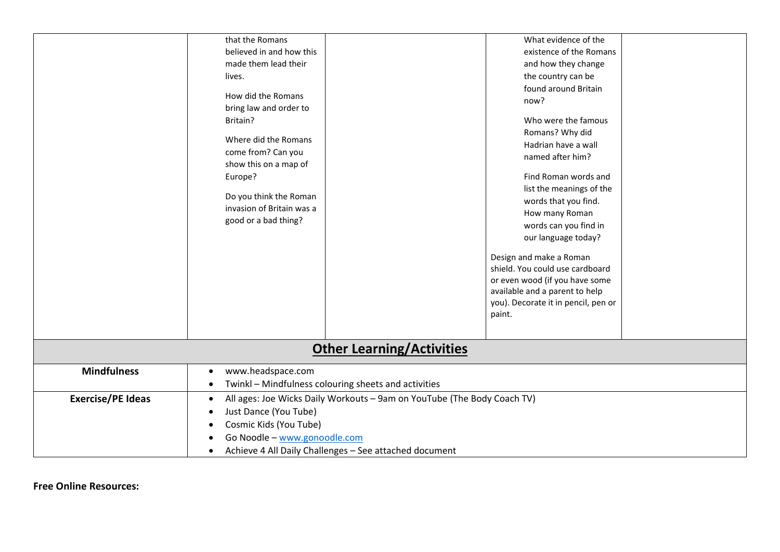|                                  | that the Romans                                                                                                  |  | What evidence of the                                       |  |
|----------------------------------|------------------------------------------------------------------------------------------------------------------|--|------------------------------------------------------------|--|
|                                  | believed in and how this                                                                                         |  | existence of the Romans                                    |  |
|                                  | made them lead their                                                                                             |  | and how they change                                        |  |
|                                  | lives.                                                                                                           |  | the country can be                                         |  |
|                                  |                                                                                                                  |  | found around Britain                                       |  |
|                                  | How did the Romans                                                                                               |  | now?                                                       |  |
|                                  | bring law and order to                                                                                           |  |                                                            |  |
|                                  | Britain?                                                                                                         |  | Who were the famous                                        |  |
|                                  | Where did the Romans                                                                                             |  | Romans? Why did                                            |  |
|                                  | come from? Can you                                                                                               |  | Hadrian have a wall                                        |  |
|                                  | show this on a map of                                                                                            |  | named after him?                                           |  |
|                                  | Europe?                                                                                                          |  | Find Roman words and                                       |  |
|                                  |                                                                                                                  |  | list the meanings of the                                   |  |
|                                  | Do you think the Roman                                                                                           |  | words that you find.                                       |  |
|                                  | invasion of Britain was a                                                                                        |  | How many Roman                                             |  |
|                                  | good or a bad thing?                                                                                             |  | words can you find in                                      |  |
|                                  |                                                                                                                  |  | our language today?                                        |  |
|                                  |                                                                                                                  |  |                                                            |  |
|                                  |                                                                                                                  |  | Design and make a Roman<br>shield. You could use cardboard |  |
|                                  |                                                                                                                  |  | or even wood (if you have some                             |  |
|                                  |                                                                                                                  |  | available and a parent to help                             |  |
|                                  |                                                                                                                  |  | you). Decorate it in pencil, pen or                        |  |
|                                  |                                                                                                                  |  | paint.                                                     |  |
|                                  |                                                                                                                  |  |                                                            |  |
|                                  |                                                                                                                  |  |                                                            |  |
| <b>Other Learning/Activities</b> |                                                                                                                  |  |                                                            |  |
| <b>Mindfulness</b>               | www.headspace.com<br>$\bullet$                                                                                   |  |                                                            |  |
|                                  | Twinkl - Mindfulness colouring sheets and activities<br>$\bullet$                                                |  |                                                            |  |
| <b>Exercise/PE Ideas</b>         | All ages: Joe Wicks Daily Workouts - 9am on YouTube (The Body Coach TV)<br>$\bullet$                             |  |                                                            |  |
|                                  | Just Dance (You Tube)                                                                                            |  |                                                            |  |
|                                  |                                                                                                                  |  |                                                            |  |
|                                  |                                                                                                                  |  |                                                            |  |
|                                  |                                                                                                                  |  |                                                            |  |
|                                  | Cosmic Kids (You Tube)<br>Go Noodle - www.gonoodle.com<br>Achieve 4 All Daily Challenges - See attached document |  |                                                            |  |

**Free Online Resources:**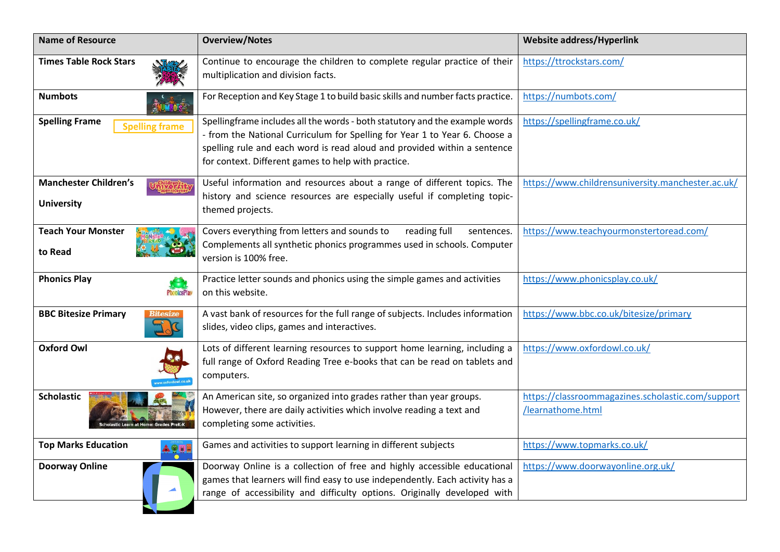| <b>Name of Resource</b>                           | <b>Overview/Notes</b>                                                                                                                                                                                                                                                                        | Website address/Hyperlink                                              |
|---------------------------------------------------|----------------------------------------------------------------------------------------------------------------------------------------------------------------------------------------------------------------------------------------------------------------------------------------------|------------------------------------------------------------------------|
| <b>Times Table Rock Stars</b>                     | Continue to encourage the children to complete regular practice of their<br>multiplication and division facts.                                                                                                                                                                               | https://ttrockstars.com/                                               |
| <b>Numbots</b>                                    | For Reception and Key Stage 1 to build basic skills and number facts practice.                                                                                                                                                                                                               | https://numbots.com/                                                   |
| <b>Spelling Frame</b><br><b>Spelling frame</b>    | Spellingframe includes all the words - both statutory and the example words<br>- from the National Curriculum for Spelling for Year 1 to Year 6. Choose a<br>spelling rule and each word is read aloud and provided within a sentence<br>for context. Different games to help with practice. | https://spellingframe.co.uk/                                           |
| <b>Manchester Children's</b><br><b>University</b> | Useful information and resources about a range of different topics. The<br>history and science resources are especially useful if completing topic-<br>themed projects.                                                                                                                      | https://www.childrensuniversity.manchester.ac.uk/                      |
| <b>Teach Your Monster</b><br>to Read              | Covers everything from letters and sounds to<br>reading full<br>sentences.<br>Complements all synthetic phonics programmes used in schools. Computer<br>version is 100% free.                                                                                                                | https://www.teachyourmonstertoread.com/                                |
| <b>Phonics Play</b><br><b>PhonicsPlay</b>         | Practice letter sounds and phonics using the simple games and activities<br>on this website.                                                                                                                                                                                                 | https://www.phonicsplay.co.uk/                                         |
| <b>BBC Bitesize Primary</b>                       | A vast bank of resources for the full range of subjects. Includes information<br>slides, video clips, games and interactives.                                                                                                                                                                | https://www.bbc.co.uk/bitesize/primary                                 |
| <b>Oxford Owl</b>                                 | Lots of different learning resources to support home learning, including a<br>full range of Oxford Reading Tree e-books that can be read on tablets and<br>computers.                                                                                                                        | https://www.oxfordowl.co.uk/                                           |
| <b>Scholastic</b>                                 | An American site, so organized into grades rather than year groups.<br>However, there are daily activities which involve reading a text and<br>completing some activities.                                                                                                                   | https://classroommagazines.scholastic.com/support<br>/learnathome.html |
| <b>Top Marks Education</b>                        | Games and activities to support learning in different subjects                                                                                                                                                                                                                               | https://www.topmarks.co.uk/                                            |
| <b>Doorway Online</b>                             | Doorway Online is a collection of free and highly accessible educational<br>games that learners will find easy to use independently. Each activity has a<br>range of accessibility and difficulty options. Originally developed with                                                         | https://www.doorwayonline.org.uk/                                      |